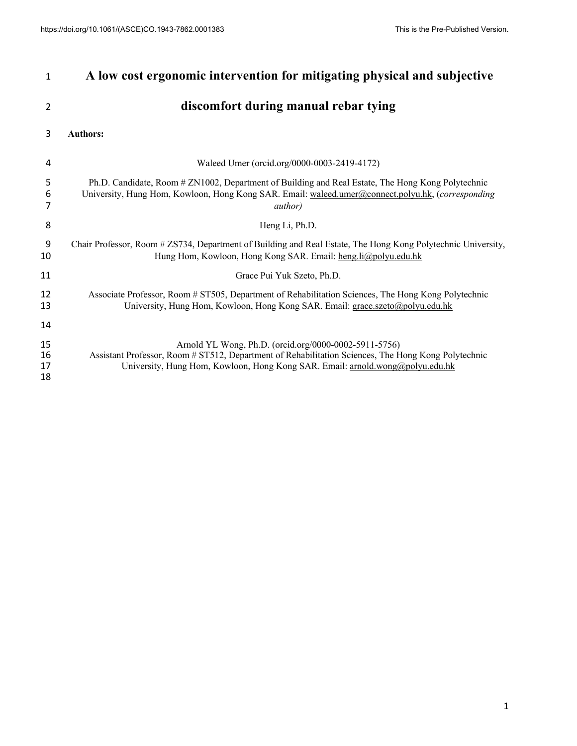| 1                    | A low cost ergonomic intervention for mitigating physical and subjective                                                                                                                                                                      |
|----------------------|-----------------------------------------------------------------------------------------------------------------------------------------------------------------------------------------------------------------------------------------------|
| $\overline{2}$       | discomfort during manual rebar tying                                                                                                                                                                                                          |
| 3                    | <b>Authors:</b>                                                                                                                                                                                                                               |
| 4                    | Waleed Umer (orcid.org/0000-0003-2419-4172)                                                                                                                                                                                                   |
| 5<br>6<br>7          | Ph.D. Candidate, Room # ZN1002, Department of Building and Real Estate, The Hong Kong Polytechnic<br>University, Hung Hom, Kowloon, Hong Kong SAR. Email: waleed.umer@connect.polyu.hk, (corresponding<br><i>author</i> )                     |
| 8                    | Heng Li, Ph.D.                                                                                                                                                                                                                                |
| 9<br>10              | Chair Professor, Room # ZS734, Department of Building and Real Estate, The Hong Kong Polytechnic University,<br>Hung Hom, Kowloon, Hong Kong SAR. Email: heng.li@polyu.edu.hk                                                                 |
| 11                   | Grace Pui Yuk Szeto, Ph.D.                                                                                                                                                                                                                    |
| 12<br>13             | Associate Professor, Room # ST505, Department of Rehabilitation Sciences, The Hong Kong Polytechnic<br>University, Hung Hom, Kowloon, Hong Kong SAR. Email: grace.szeto@polyu.edu.hk                                                          |
| 14                   |                                                                                                                                                                                                                                               |
| 15<br>16<br>17<br>18 | Arnold YL Wong, Ph.D. (orcid.org/0000-0002-5911-5756)<br>Assistant Professor, Room # ST512, Department of Rehabilitation Sciences, The Hong Kong Polytechnic<br>University, Hung Hom, Kowloon, Hong Kong SAR. Email: arnold.wong@polyu.edu.hk |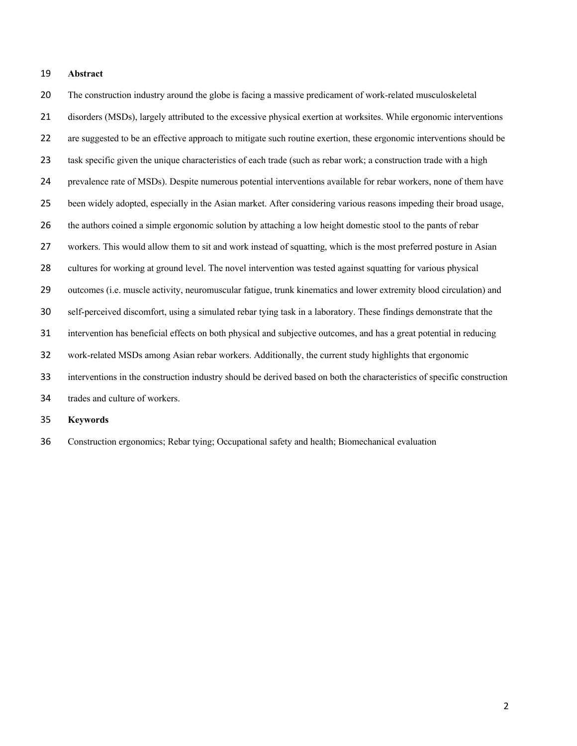# **Abstract**

 The construction industry around the globe is facing a massive predicament of work-related musculoskeletal disorders (MSDs), largely attributed to the excessive physical exertion at worksites. While ergonomic interventions are suggested to be an effective approach to mitigate such routine exertion, these ergonomic interventions should be task specific given the unique characteristics of each trade (such as rebar work; a construction trade with a high prevalence rate of MSDs). Despite numerous potential interventions available for rebar workers, none of them have been widely adopted, especially in the Asian market. After considering various reasons impeding their broad usage, the authors coined a simple ergonomic solution by attaching a low height domestic stool to the pants of rebar workers. This would allow them to sit and work instead of squatting, which is the most preferred posture in Asian cultures for working at ground level. The novel intervention was tested against squatting for various physical outcomes (i.e. muscle activity, neuromuscular fatigue, trunk kinematics and lower extremity blood circulation) and self-perceived discomfort, using a simulated rebar tying task in a laboratory. These findings demonstrate that the intervention has beneficial effects on both physical and subjective outcomes, and has a great potential in reducing work-related MSDs among Asian rebar workers. Additionally, the current study highlights that ergonomic interventions in the construction industry should be derived based on both the characteristics of specific construction trades and culture of workers.

**Keywords**

Construction ergonomics; Rebar tying; Occupational safety and health; Biomechanical evaluation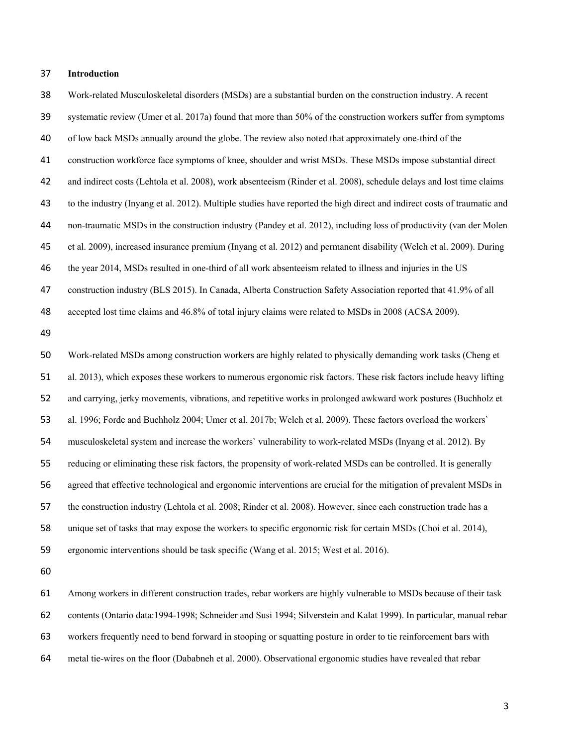#### **Introduction**

 Work-related Musculoskeletal disorders (MSDs) are a substantial burden on the construction industry. A recent systematic review (Umer et al. 2017a) found that more than 50% of the construction workers suffer from symptoms of low back MSDs annually around the globe. The review also noted that approximately one-third of the construction workforce face symptoms of knee, shoulder and wrist MSDs. These MSDs impose substantial direct and indirect costs (Lehtola et al. 2008), work absenteeism (Rinder et al. 2008), schedule delays and lost time claims to the industry (Inyang et al. 2012). Multiple studies have reported the high direct and indirect costs of traumatic and non-traumatic MSDs in the construction industry (Pandey et al. 2012), including loss of productivity (van der Molen et al. 2009), increased insurance premium (Inyang et al. 2012) and permanent disability (Welch et al. 2009). During the year 2014, MSDs resulted in one-third of all work absenteeism related to illness and injuries in the US construction industry (BLS 2015). In Canada, Alberta Construction Safety Association reported that 41.9% of all accepted lost time claims and 46.8% of total injury claims were related to MSDs in 2008 (ACSA 2009). Work-related MSDs among construction workers are highly related to physically demanding work tasks (Cheng et al. 2013), which exposes these workers to numerous ergonomic risk factors. These risk factors include heavy lifting and carrying, jerky movements, vibrations, and repetitive works in prolonged awkward work postures (Buchholz et al. 1996; Forde and Buchholz 2004; Umer et al. 2017b; Welch et al. 2009). These factors overload the workers` musculoskeletal system and increase the workers` vulnerability to work-related MSDs (Inyang et al. 2012). By reducing or eliminating these risk factors, the propensity of work-related MSDs can be controlled. It is generally agreed that effective technological and ergonomic interventions are crucial for the mitigation of prevalent MSDs in the construction industry (Lehtola et al. 2008; Rinder et al. 2008). However, since each construction trade has a unique set of tasks that may expose the workers to specific ergonomic risk for certain MSDs (Choi et al. 2014), ergonomic interventions should be task specific (Wang et al. 2015; West et al. 2016). Among workers in different construction trades, rebar workers are highly vulnerable to MSDs because of their task

 contents (Ontario data:1994-1998; Schneider and Susi 1994; Silverstein and Kalat 1999). In particular, manual rebar workers frequently need to bend forward in stooping or squatting posture in order to tie reinforcement bars with metal tie-wires on the floor (Dababneh et al. 2000). Observational ergonomic studies have revealed that rebar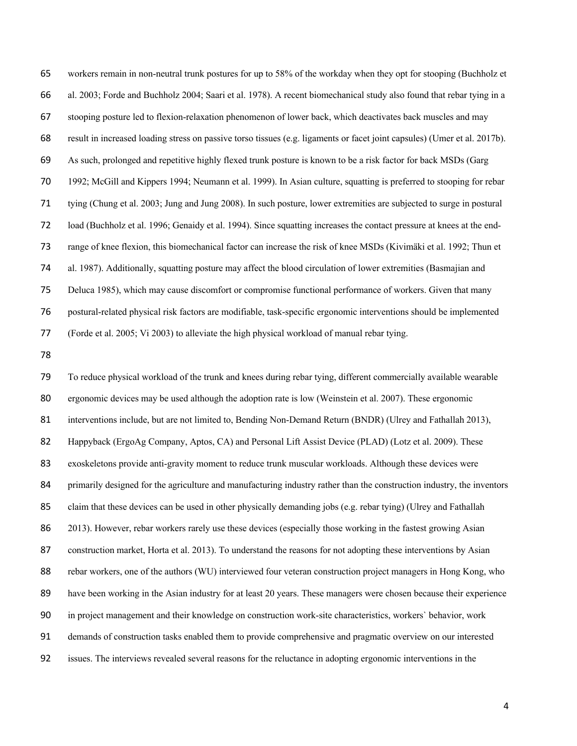workers remain in non-neutral trunk postures for up to 58% of the workday when they opt for stooping (Buchholz et al. 2003; Forde and Buchholz 2004; Saari et al. 1978). A recent biomechanical study also found that rebar tying in a stooping posture led to flexion-relaxation phenomenon of lower back, which deactivates back muscles and may result in increased loading stress on passive torso tissues (e.g. ligaments or facet joint capsules) (Umer et al. 2017b). As such, prolonged and repetitive highly flexed trunk posture is known to be a risk factor for back MSDs (Garg 1992; McGill and Kippers 1994; Neumann et al. 1999). In Asian culture, squatting is preferred to stooping for rebar tying (Chung et al. 2003; Jung and Jung 2008). In such posture, lower extremities are subjected to surge in postural load (Buchholz et al. 1996; Genaidy et al. 1994). Since squatting increases the contact pressure at knees at the end- range of knee flexion, this biomechanical factor can increase the risk of knee MSDs (Kivimäki et al. 1992; Thun et al. 1987). Additionally, squatting posture may affect the blood circulation of lower extremities (Basmajian and Deluca 1985), which may cause discomfort or compromise functional performance of workers. Given that many postural-related physical risk factors are modifiable, task-specific ergonomic interventions should be implemented (Forde et al. 2005; Vi 2003) to alleviate the high physical workload of manual rebar tying.

 To reduce physical workload of the trunk and knees during rebar tying, different commercially available wearable ergonomic devices may be used although the adoption rate is low (Weinstein et al. 2007). These ergonomic 81 interventions include, but are not limited to, Bending Non-Demand Return (BNDR) (Ulrey and Fathallah 2013), Happyback (ErgoAg Company, Aptos, CA) and Personal Lift Assist Device (PLAD) (Lotz et al. 2009). These exoskeletons provide anti-gravity moment to reduce trunk muscular workloads. Although these devices were primarily designed for the agriculture and manufacturing industry rather than the construction industry, the inventors claim that these devices can be used in other physically demanding jobs (e.g. rebar tying) (Ulrey and Fathallah 86 2013). However, rebar workers rarely use these devices (especially those working in the fastest growing Asian 87 construction market, Horta et al. 2013). To understand the reasons for not adopting these interventions by Asian rebar workers, one of the authors (WU) interviewed four veteran construction project managers in Hong Kong, who have been working in the Asian industry for at least 20 years. These managers were chosen because their experience in project management and their knowledge on construction work-site characteristics, workers` behavior, work demands of construction tasks enabled them to provide comprehensive and pragmatic overview on our interested issues. The interviews revealed several reasons for the reluctance in adopting ergonomic interventions in the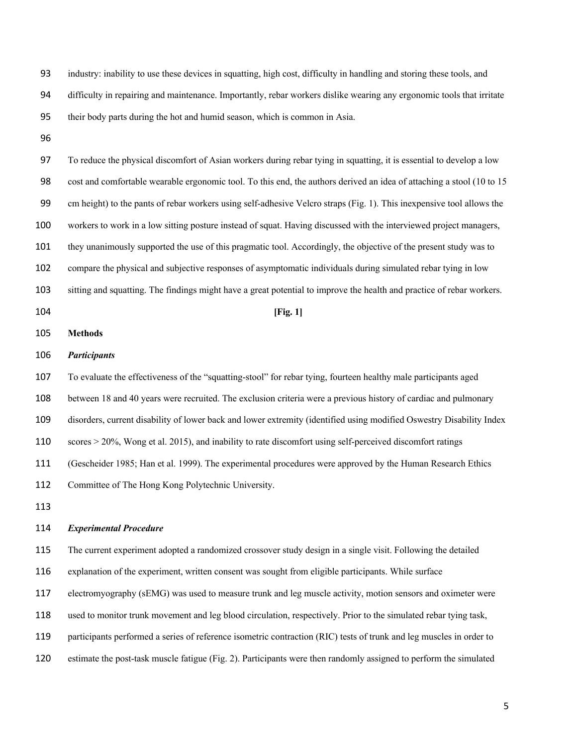industry: inability to use these devices in squatting, high cost, difficulty in handling and storing these tools, and difficulty in repairing and maintenance. Importantly, rebar workers dislike wearing any ergonomic tools that irritate their body parts during the hot and humid season, which is common in Asia. To reduce the physical discomfort of Asian workers during rebar tying in squatting, it is essential to develop a low cost and comfortable wearable ergonomic tool. To this end, the authors derived an idea of attaching a stool (10 to 15 cm height) to the pants of rebar workers using self-adhesive Velcro straps (Fig. 1). This inexpensive tool allows the workers to work in a low sitting posture instead of squat. Having discussed with the interviewed project managers, they unanimously supported the use of this pragmatic tool. Accordingly, the objective of the present study was to compare the physical and subjective responses of asymptomatic individuals during simulated rebar tying in low sitting and squatting. The findings might have a great potential to improve the health and practice of rebar workers. **[Fig. 1] Methods** *Participants* To evaluate the effectiveness of the "squatting-stool" for rebar tying, fourteen healthy male participants aged between 18 and 40 years were recruited. The exclusion criteria were a previous history of cardiac and pulmonary disorders, current disability of lower back and lower extremity (identified using modified Oswestry Disability Index scores > 20%, Wong et al. 2015), and inability to rate discomfort using self-perceived discomfort ratings (Gescheider 1985; Han et al. 1999). The experimental procedures were approved by the Human Research Ethics Committee of The Hong Kong Polytechnic University. *Experimental Procedure* The current experiment adopted a randomized crossover study design in a single visit. Following the detailed explanation of the experiment, written consent was sought from eligible participants. While surface electromyography (sEMG) was used to measure trunk and leg muscle activity, motion sensors and oximeter were used to monitor trunk movement and leg blood circulation, respectively. Prior to the simulated rebar tying task, participants performed a series of reference isometric contraction (RIC) tests of trunk and leg muscles in order to estimate the post-task muscle fatigue (Fig. 2). Participants were then randomly assigned to perform the simulated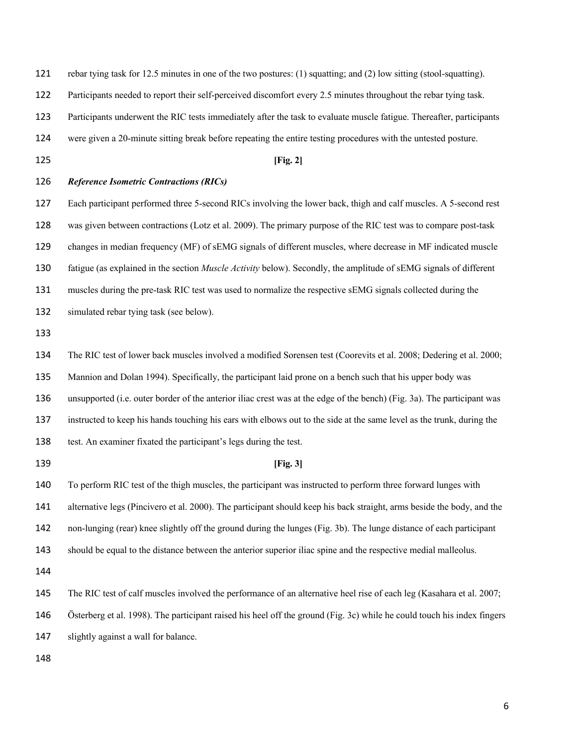| 121 | rebar tying task for 12.5 minutes in one of the two postures: (1) squatting; and (2) low sitting (stool-squatting).      |
|-----|--------------------------------------------------------------------------------------------------------------------------|
| 122 | Participants needed to report their self-perceived discomfort every 2.5 minutes throughout the rebar tying task.         |
| 123 | Participants underwent the RIC tests immediately after the task to evaluate muscle fatigue. Thereafter, participants     |
| 124 | were given a 20-minute sitting break before repeating the entire testing procedures with the untested posture.           |
| 125 | [Fig. 2]                                                                                                                 |
| 126 | <b>Reference Isometric Contractions (RICs)</b>                                                                           |
| 127 | Each participant performed three 5-second RICs involving the lower back, thigh and calf muscles. A 5-second rest         |
| 128 | was given between contractions (Lotz et al. 2009). The primary purpose of the RIC test was to compare post-task          |
| 129 | changes in median frequency (MF) of sEMG signals of different muscles, where decrease in MF indicated muscle             |
| 130 | fatigue (as explained in the section <i>Muscle Activity</i> below). Secondly, the amplitude of sEMG signals of different |
| 131 | muscles during the pre-task RIC test was used to normalize the respective sEMG signals collected during the              |
| 132 | simulated rebar tying task (see below).                                                                                  |
| 133 |                                                                                                                          |
| 134 | The RIC test of lower back muscles involved a modified Sorensen test (Coorevits et al. 2008; Dedering et al. 2000;       |
| 135 | Mannion and Dolan 1994). Specifically, the participant laid prone on a bench such that his upper body was                |
| 136 | unsupported (i.e. outer border of the anterior iliac crest was at the edge of the bench) (Fig. 3a). The participant was  |
| 137 | instructed to keep his hands touching his ears with elbows out to the side at the same level as the trunk, during the    |
| 138 | test. An examiner fixated the participant's legs during the test.                                                        |
| 139 | [Fig. 3]                                                                                                                 |
| 140 | To perform RIC test of the thigh muscles, the participant was instructed to perform three forward lunges with            |
| 141 | alternative legs (Pincivero et al. 2000). The participant should keep his back straight, arms beside the body, and the   |
| 142 | non-lunging (rear) knee slightly off the ground during the lunges (Fig. 3b). The lunge distance of each participant      |
| 143 | should be equal to the distance between the anterior superior iliac spine and the respective medial malleolus.           |
| 144 |                                                                                                                          |
| 145 | The RIC test of calf muscles involved the performance of an alternative heel rise of each leg (Kasahara et al. 2007;     |
| 146 | Österberg et al. 1998). The participant raised his heel off the ground (Fig. 3c) while he could touch his index fingers  |
| 147 | slightly against a wall for balance.                                                                                     |
| 148 |                                                                                                                          |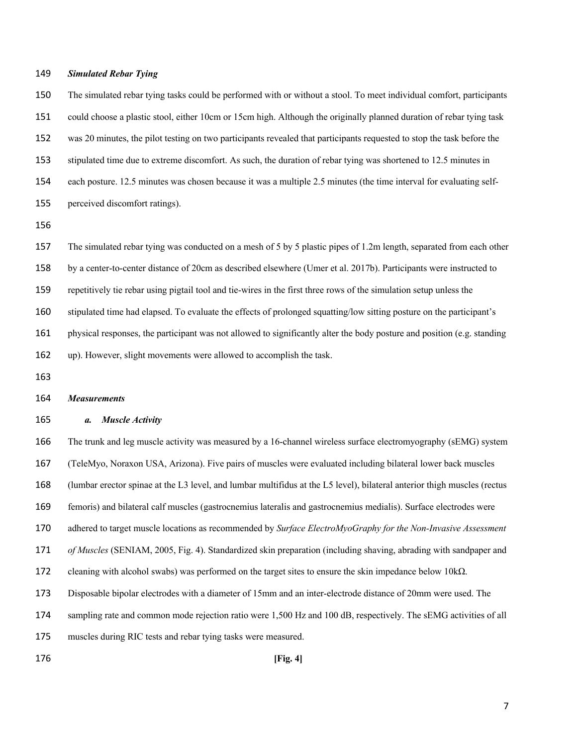## *Simulated Rebar Tying*

 The simulated rebar tying tasks could be performed with or without a stool. To meet individual comfort, participants could choose a plastic stool, either 10cm or 15cm high. Although the originally planned duration of rebar tying task was 20 minutes, the pilot testing on two participants revealed that participants requested to stop the task before the stipulated time due to extreme discomfort. As such, the duration of rebar tying was shortened to 12.5 minutes in each posture. 12.5 minutes was chosen because it was a multiple 2.5 minutes (the time interval for evaluating self-perceived discomfort ratings).

 The simulated rebar tying was conducted on a mesh of 5 by 5 plastic pipes of 1.2m length, separated from each other by a center-to-center distance of 20cm as described elsewhere (Umer et al. 2017b). Participants were instructed to repetitively tie rebar using pigtail tool and tie-wires in the first three rows of the simulation setup unless the stipulated time had elapsed. To evaluate the effects of prolonged squatting/low sitting posture on the participant's physical responses, the participant was not allowed to significantly alter the body posture and position (e.g. standing up). However, slight movements were allowed to accomplish the task.

#### *Measurements*

# *a. Muscle Activity*

 The trunk and leg muscle activity was measured by a 16-channel wireless surface electromyography (sEMG) system (TeleMyo, Noraxon USA, Arizona). Five pairs of muscles were evaluated including bilateral lower back muscles (lumbar erector spinae at the L3 level, and lumbar multifidus at the L5 level), bilateral anterior thigh muscles (rectus femoris) and bilateral calf muscles (gastrocnemius lateralis and gastrocnemius medialis). Surface electrodes were adhered to target muscle locations as recommended by *Surface ElectroMyoGraphy for the Non-Invasive Assessment of Muscles* (SENIAM, 2005, Fig. 4). Standardized skin preparation (including shaving, abrading with sandpaper and 172 cleaning with alcohol swabs) was performed on the target sites to ensure the skin impedance below 10k $\Omega$ . Disposable bipolar electrodes with a diameter of 15mm and an inter-electrode distance of 20mm were used. The sampling rate and common mode rejection ratio were 1,500 Hz and 100 dB, respectively. The sEMG activities of all muscles during RIC tests and rebar tying tasks were measured. **[Fig. 4]**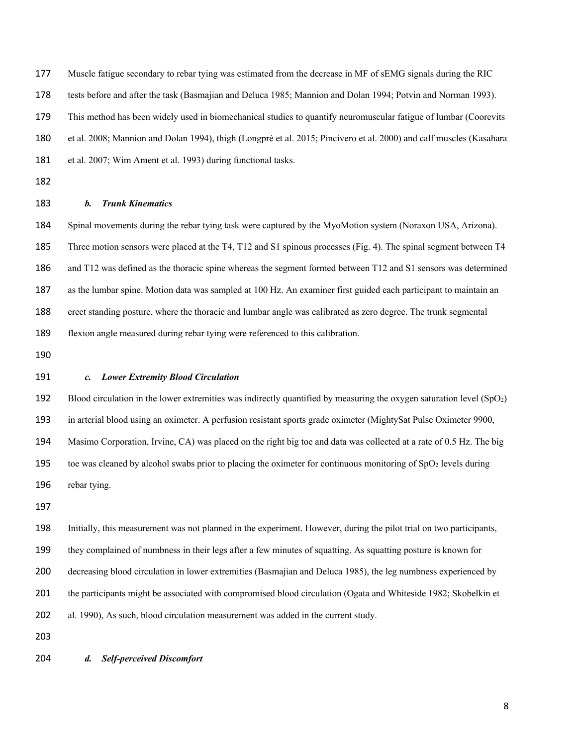Muscle fatigue secondary to rebar tying was estimated from the decrease in MF of sEMG signals during the RIC tests before and after the task (Basmajian and Deluca 1985; Mannion and Dolan 1994; Potvin and Norman 1993). This method has been widely used in biomechanical studies to quantify neuromuscular fatigue of lumbar (Coorevits et al. 2008; Mannion and Dolan 1994), thigh (Longpré et al. 2015; Pincivero et al. 2000) and calf muscles (Kasahara et al. 2007; Wim Ament et al. 1993) during functional tasks. *b. Trunk Kinematics* Spinal movements during the rebar tying task were captured by the MyoMotion system (Noraxon USA, Arizona). Three motion sensors were placed at the T4, T12 and S1 spinous processes (Fig. 4). The spinal segment between T4 and T12 was defined as the thoracic spine whereas the segment formed between T12 and S1 sensors was determined as the lumbar spine. Motion data was sampled at 100 Hz. An examiner first guided each participant to maintain an erect standing posture, where the thoracic and lumbar angle was calibrated as zero degree. The trunk segmental flexion angle measured during rebar tying were referenced to this calibration. *c. Lower Extremity Blood Circulation* 192 Blood circulation in the lower extremities was indirectly quantified by measuring the oxygen saturation level  $(SpO<sub>2</sub>)$  in arterial blood using an oximeter. A perfusion resistant sports grade oximeter (MightySat Pulse Oximeter 9900, Masimo Corporation, Irvine, CA) was placed on the right big toe and data was collected at a rate of 0.5 Hz. The big 195 toe was cleaned by alcohol swabs prior to placing the oximeter for continuous monitoring of  $SpO<sub>2</sub>$  levels during rebar tying. Initially, this measurement was not planned in the experiment. However, during the pilot trial on two participants, they complained of numbness in their legs after a few minutes of squatting. As squatting posture is known for decreasing blood circulation in lower extremities (Basmajian and Deluca 1985), the leg numbness experienced by the participants might be associated with compromised blood circulation (Ogata and Whiteside 1982; Skobelkin et al. 1990), As such, blood circulation measurement was added in the current study.

#### *d. Self-perceived Discomfort*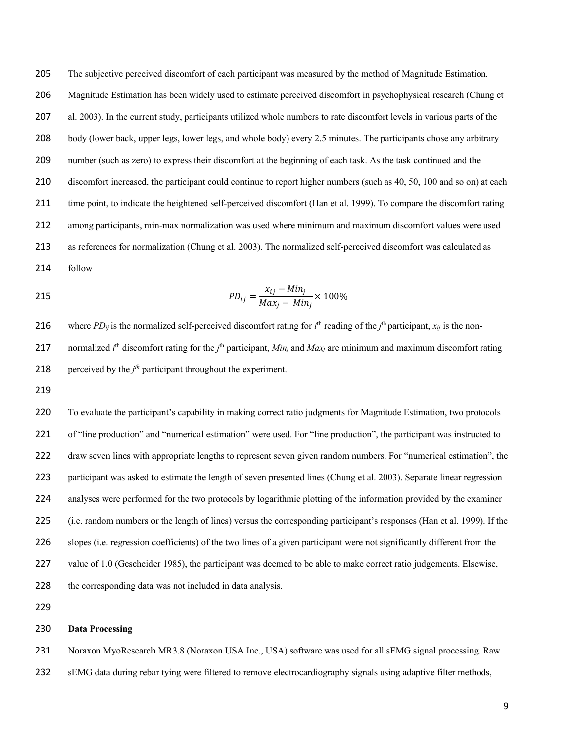The subjective perceived discomfort of each participant was measured by the method of Magnitude Estimation. Magnitude Estimation has been widely used to estimate perceived discomfort in psychophysical research (Chung et al. 2003). In the current study, participants utilized whole numbers to rate discomfort levels in various parts of the body (lower back, upper legs, lower legs, and whole body) every 2.5 minutes. The participants chose any arbitrary number (such as zero) to express their discomfort at the beginning of each task. As the task continued and the discomfort increased, the participant could continue to report higher numbers (such as 40, 50, 100 and so on) at each time point, to indicate the heightened self-perceived discomfort (Han et al. 1999). To compare the discomfort rating among participants, min-max normalization was used where minimum and maximum discomfort values were used as references for normalization (Chung et al. 2003). The normalized self-perceived discomfort was calculated as follow

$$
PD_{ij} = \frac{x_{ij} - Min_j}{Max_j - Min_j} \times 100\%
$$

216 where  $PD_{ij}$  is the normalized self-perceived discomfort rating for  $i^{\text{th}}$  reading of the  $j^{\text{th}}$  participant,  $x_{ij}$  is the non-217 normalized  $i^{\text{th}}$  discomfort rating for the  $j^{\text{th}}$  participant, *Min<sub>j</sub>* and *Max<sub>j</sub>* are minimum and maximum discomfort rating 218 perceived by the  $j<sup>th</sup>$  participant throughout the experiment.

 To evaluate the participant's capability in making correct ratio judgments for Magnitude Estimation, two protocols of "line production" and "numerical estimation" were used. For "line production", the participant was instructed to draw seven lines with appropriate lengths to represent seven given random numbers. For "numerical estimation", the participant was asked to estimate the length of seven presented lines (Chung et al. 2003). Separate linear regression analyses were performed for the two protocols by logarithmic plotting of the information provided by the examiner (i.e. random numbers or the length of lines) versus the corresponding participant's responses (Han et al. 1999). If the slopes (i.e. regression coefficients) of the two lines of a given participant were not significantly different from the 227 value of 1.0 (Gescheider 1985), the participant was deemed to be able to make correct ratio judgements. Elsewise, the corresponding data was not included in data analysis.

#### **Data Processing**

Noraxon MyoResearch MR3.8 (Noraxon USA Inc., USA) software was used for all sEMG signal processing. Raw

sEMG data during rebar tying were filtered to remove electrocardiography signals using adaptive filter methods,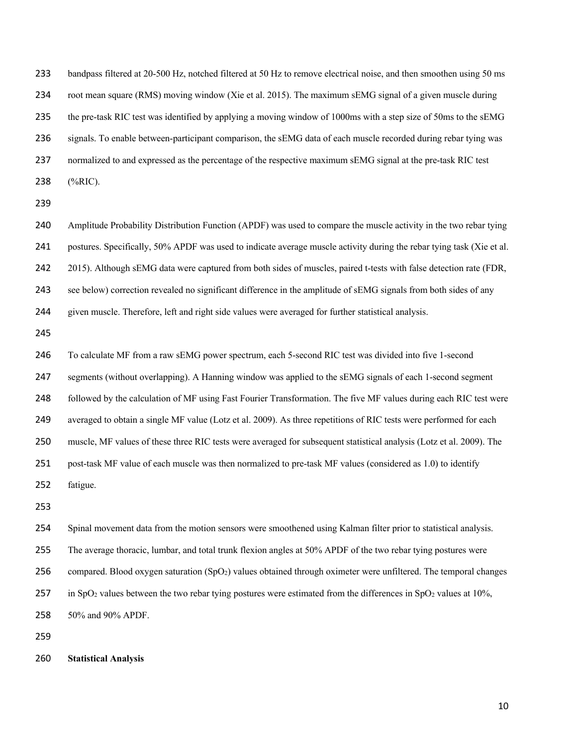bandpass filtered at 20-500 Hz, notched filtered at 50 Hz to remove electrical noise, and then smoothen using 50 ms root mean square (RMS) moving window (Xie et al. 2015). The maximum sEMG signal of a given muscle during the pre-task RIC test was identified by applying a moving window of 1000ms with a step size of 50ms to the sEMG signals. To enable between-participant comparison, the sEMG data of each muscle recorded during rebar tying was normalized to and expressed as the percentage of the respective maximum sEMG signal at the pre-task RIC test (%RIC).

 Amplitude Probability Distribution Function (APDF) was used to compare the muscle activity in the two rebar tying postures. Specifically, 50% APDF was used to indicate average muscle activity during the rebar tying task (Xie et al. 242 2015). Although sEMG data were captured from both sides of muscles, paired t-tests with false detection rate (FDR, see below) correction revealed no significant difference in the amplitude of sEMG signals from both sides of any given muscle. Therefore, left and right side values were averaged for further statistical analysis.

 To calculate MF from a raw sEMG power spectrum, each 5-second RIC test was divided into five 1-second segments (without overlapping). A Hanning window was applied to the sEMG signals of each 1-second segment followed by the calculation of MF using Fast Fourier Transformation. The five MF values during each RIC test were averaged to obtain a single MF value (Lotz et al. 2009). As three repetitions of RIC tests were performed for each muscle, MF values of these three RIC tests were averaged for subsequent statistical analysis (Lotz et al. 2009). The post-task MF value of each muscle was then normalized to pre-task MF values (considered as 1.0) to identify fatigue.

 Spinal movement data from the motion sensors were smoothened using Kalman filter prior to statistical analysis. The average thoracic, lumbar, and total trunk flexion angles at 50% APDF of the two rebar tying postures were 256 compared. Blood oxygen saturation  $(SpO<sub>2</sub>)$  values obtained through oximeter were unfiltered. The temporal changes 257 in SpO<sub>2</sub> values between the two rebar tying postures were estimated from the differences in SpO<sub>2</sub> values at  $10\%$ , 50% and 90% APDF.

**Statistical Analysis**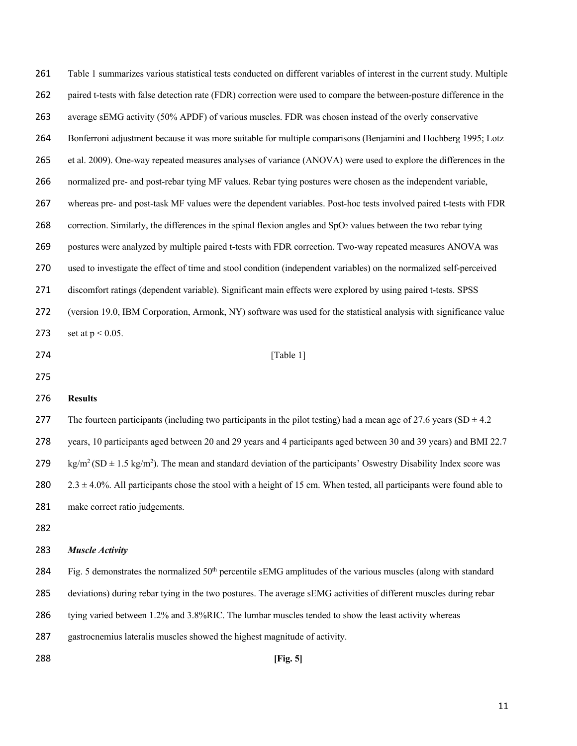| 261 | Table 1 summarizes various statistical tests conducted on different variables of interest in the current study. Multiple                     |
|-----|----------------------------------------------------------------------------------------------------------------------------------------------|
| 262 | paired t-tests with false detection rate (FDR) correction were used to compare the between-posture difference in the                         |
| 263 | average sEMG activity (50% APDF) of various muscles. FDR was chosen instead of the overly conservative                                       |
| 264 | Bonferroni adjustment because it was more suitable for multiple comparisons (Benjamini and Hochberg 1995; Lotz                               |
| 265 | et al. 2009). One-way repeated measures analyses of variance (ANOVA) were used to explore the differences in the                             |
| 266 | normalized pre- and post-rebar tying MF values. Rebar tying postures were chosen as the independent variable,                                |
| 267 | whereas pre- and post-task MF values were the dependent variables. Post-hoc tests involved paired t-tests with FDR                           |
| 268 | correction. Similarly, the differences in the spinal flexion angles and SpO <sub>2</sub> values between the two rebar tying                  |
| 269 | postures were analyzed by multiple paired t-tests with FDR correction. Two-way repeated measures ANOVA was                                   |
| 270 | used to investigate the effect of time and stool condition (independent variables) on the normalized self-perceived                          |
| 271 | discomfort ratings (dependent variable). Significant main effects were explored by using paired t-tests. SPSS                                |
| 272 | (version 19.0, IBM Corporation, Armonk, NY) software was used for the statistical analysis with significance value                           |
| 273 | set at $p < 0.05$ .                                                                                                                          |
| 274 | [Table 1]                                                                                                                                    |
| 275 |                                                                                                                                              |
| 276 | <b>Results</b>                                                                                                                               |
| 277 | The fourteen participants (including two participants in the pilot testing) had a mean age of 27.6 years (SD $\pm$ 4.2                       |
| 278 | years, 10 participants aged between 20 and 29 years and 4 participants aged between 30 and 39 years) and BMI 22.7                            |
| 279 | $\text{kg/m}^2(\text{SD} \pm 1.5 \text{ kg/m}^2)$ . The mean and standard deviation of the participants' Oswestry Disability Index score was |
| 280 | $2.3 \pm 4.0\%$ . All participants chose the stool with a height of 15 cm. When tested, all participants were found able to                  |
| 281 | make correct ratio judgements.                                                                                                               |
| 282 |                                                                                                                                              |
| 283 | <b>Muscle Activity</b>                                                                                                                       |
| 284 | Fig. 5 demonstrates the normalized $50th$ percentile sEMG amplitudes of the various muscles (along with standard                             |
| 285 | deviations) during rebar tying in the two postures. The average sEMG activities of different muscles during rebar                            |
| 286 | tying varied between 1.2% and 3.8%RIC. The lumbar muscles tended to show the least activity whereas                                          |
| 287 | gastrocnemius lateralis muscles showed the highest magnitude of activity.                                                                    |
| 288 | [Fig. 5]                                                                                                                                     |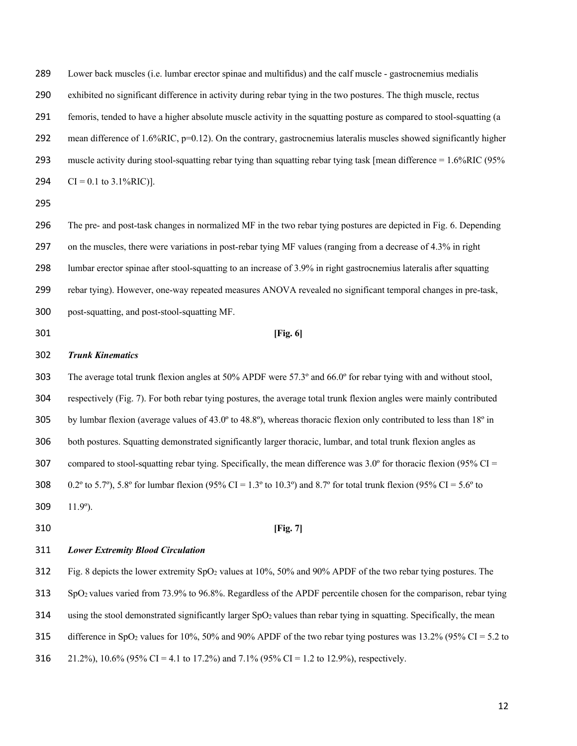Lower back muscles (i.e. lumbar erector spinae and multifidus) and the calf muscle - gastrocnemius medialis exhibited no significant difference in activity during rebar tying in the two postures. The thigh muscle, rectus femoris, tended to have a higher absolute muscle activity in the squatting posture as compared to stool-squatting (a 292 mean difference of 1.6%RIC, p=0.12). On the contrary, gastrocnemius lateralis muscles showed significantly higher

293 muscle activity during stool-squatting rebar tying than squatting rebar tying task [mean difference  $= 1.6\%$ RIC (95%)

294 CI = 0.1 to 3.1%RIC)].

 The pre- and post-task changes in normalized MF in the two rebar tying postures are depicted in Fig. 6. Depending 297 on the muscles, there were variations in post-rebar tying MF values (ranging from a decrease of 4.3% in right lumbar erector spinae after stool-squatting to an increase of 3.9% in right gastrocnemius lateralis after squatting rebar tying). However, one-way repeated measures ANOVA revealed no significant temporal changes in pre-task, post-squatting, and post-stool-squatting MF.

#### **[Fig. 6]**

#### *Trunk Kinematics*

 The average total trunk flexion angles at 50% APDF were 57.3º and 66.0º for rebar tying with and without stool, respectively (Fig. 7). For both rebar tying postures, the average total trunk flexion angles were mainly contributed 305 by lumbar flexion (average values of  $43.0^\circ$  to  $48.8^\circ$ ), whereas thoracic flexion only contributed to less than  $18^\circ$  in both postures. Squatting demonstrated significantly larger thoracic, lumbar, and total trunk flexion angles as 307 compared to stool-squatting rebar tying. Specifically, the mean difference was  $3.0^{\circ}$  for thoracic flexion (95% CI = 308 0.2° to 5.7°), 5.8° for lumbar flexion (95% CI = 1.3° to 10.3°) and 8.7° for total trunk flexion (95% CI = 5.6° to 11.9º).

## **[Fig. 7]**

### *Lower Extremity Blood Circulation*

Fig. 8 depicts the lower extremity SpO2 values at 10%, 50% and 90% APDF of the two rebar tying postures. The

SpO2 values varied from 73.9% to 96.8%. Regardless of the APDF percentile chosen for the comparison, rebar tying

- 314 using the stool demonstrated significantly larger  $SpO<sub>2</sub>$  values than rebar tying in squatting. Specifically, the mean
- 315 difference in SpO<sub>2</sub> values for 10%, 50% and 90% APDF of the two rebar tying postures was 13.2% (95% CI = 5.2 to
- 316 21.2%), 10.6% (95% CI = 4.1 to 17.2%) and 7.1% (95% CI = 1.2 to 12.9%), respectively.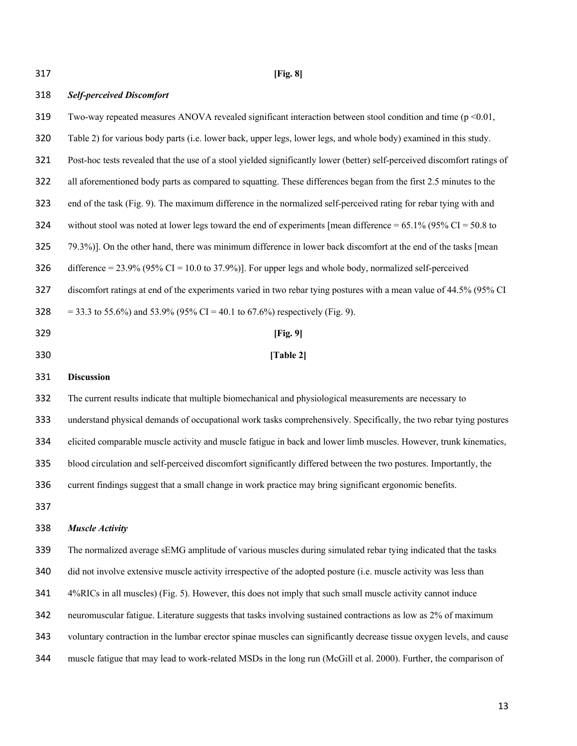# **[Fig. 8]**

| 318 | <b>Self-perceived Discomfort</b>                                                                                          |
|-----|---------------------------------------------------------------------------------------------------------------------------|
| 319 | Two-way repeated measures ANOVA revealed significant interaction between stool condition and time ( $p \le 0.01$ ,        |
| 320 | Table 2) for various body parts (i.e. lower back, upper legs, lower legs, and whole body) examined in this study.         |
| 321 | Post-hoc tests revealed that the use of a stool yielded significantly lower (better) self-perceived discomfort ratings of |
| 322 | all aforementioned body parts as compared to squatting. These differences began from the first 2.5 minutes to the         |
| 323 | end of the task (Fig. 9). The maximum difference in the normalized self-perceived rating for rebar tying with and         |
| 324 | without stool was noted at lower legs toward the end of experiments [mean difference = $65.1\%$ (95% CI = $50.8$ to       |
| 325 | 79.3%)]. On the other hand, there was minimum difference in lower back discomfort at the end of the tasks [mean           |
| 326 | difference = $23.9\%$ (95% CI = 10.0 to 37.9%)]. For upper legs and whole body, normalized self-perceived                 |
| 327 | discomfort ratings at end of the experiments varied in two rebar tying postures with a mean value of 44.5% (95% CI        |
| 328 | = 33.3 to 55.6%) and 53.9% (95% CI = 40.1 to 67.6%) respectively (Fig. 9).                                                |
| 329 | [Fig. 9]                                                                                                                  |
| 330 | [Table 2]                                                                                                                 |
| 331 | <b>Discussion</b>                                                                                                         |
| 332 | The current results indicate that multiple biomechanical and physiological measurements are necessary to                  |
| 333 | understand physical demands of occupational work tasks comprehensively. Specifically, the two rebar tying postures        |
| 334 | elicited comparable muscle activity and muscle fatigue in back and lower limb muscles. However, trunk kinematics,         |
| 335 | blood circulation and self-perceived discomfort significantly differed between the two postures. Importantly, the         |
| 336 | current findings suggest that a small change in work practice may bring significant ergonomic benefits.                   |
| 337 |                                                                                                                           |
| 338 | <b>Muscle Activity</b>                                                                                                    |
| 339 | The normalized average sEMG amplitude of various muscles during simulated rebar tying indicated that the tasks            |
| 340 | did not involve extensive muscle activity irrespective of the adopted posture (i.e. muscle activity was less than         |
| 341 | 4%RICs in all muscles) (Fig. 5). However, this does not imply that such small muscle activity cannot induce               |
| 342 | neuromuscular fatigue. Literature suggests that tasks involving sustained contractions as low as 2% of maximum            |
| 343 | voluntary contraction in the lumbar erector spinae muscles can significantly decrease tissue oxygen levels, and cause     |
| 344 | muscle fatigue that may lead to work-related MSDs in the long run (McGill et al. 2000). Further, the comparison of        |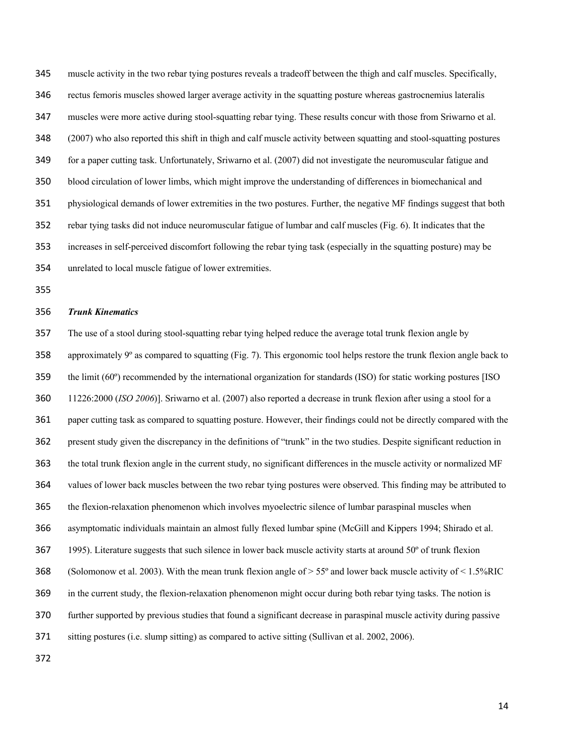muscle activity in the two rebar tying postures reveals a tradeoff between the thigh and calf muscles. Specifically, rectus femoris muscles showed larger average activity in the squatting posture whereas gastrocnemius lateralis muscles were more active during stool-squatting rebar tying. These results concur with those from Sriwarno et al. (2007) who also reported this shift in thigh and calf muscle activity between squatting and stool-squatting postures for a paper cutting task. Unfortunately, Sriwarno et al. (2007) did not investigate the neuromuscular fatigue and blood circulation of lower limbs, which might improve the understanding of differences in biomechanical and physiological demands of lower extremities in the two postures. Further, the negative MF findings suggest that both rebar tying tasks did not induce neuromuscular fatigue of lumbar and calf muscles (Fig. 6). It indicates that the increases in self-perceived discomfort following the rebar tying task (especially in the squatting posture) may be unrelated to local muscle fatigue of lower extremities.

#### *Trunk Kinematics*

 The use of a stool during stool-squatting rebar tying helped reduce the average total trunk flexion angle by 358 approximately  $9^\circ$  as compared to squatting (Fig. 7). This ergonomic tool helps restore the trunk flexion angle back to the limit (60º) recommended by the international organization for standards (ISO) for static working postures [ISO 11226:2000 (*ISO 2006*)]. Sriwarno et al. (2007) also reported a decrease in trunk flexion after using a stool for a paper cutting task as compared to squatting posture. However, their findings could not be directly compared with the present study given the discrepancy in the definitions of "trunk" in the two studies. Despite significant reduction in the total trunk flexion angle in the current study, no significant differences in the muscle activity or normalized MF values of lower back muscles between the two rebar tying postures were observed. This finding may be attributed to the flexion-relaxation phenomenon which involves myoelectric silence of lumbar paraspinal muscles when asymptomatic individuals maintain an almost fully flexed lumbar spine (McGill and Kippers 1994; Shirado et al. 1995). Literature suggests that such silence in lower back muscle activity starts at around 50º of trunk flexion (Solomonow et al. 2003). With the mean trunk flexion angle of > 55º and lower back muscle activity of < 1.5%RIC in the current study, the flexion-relaxation phenomenon might occur during both rebar tying tasks. The notion is further supported by previous studies that found a significant decrease in paraspinal muscle activity during passive sitting postures (i.e. slump sitting) as compared to active sitting (Sullivan et al. 2002, 2006).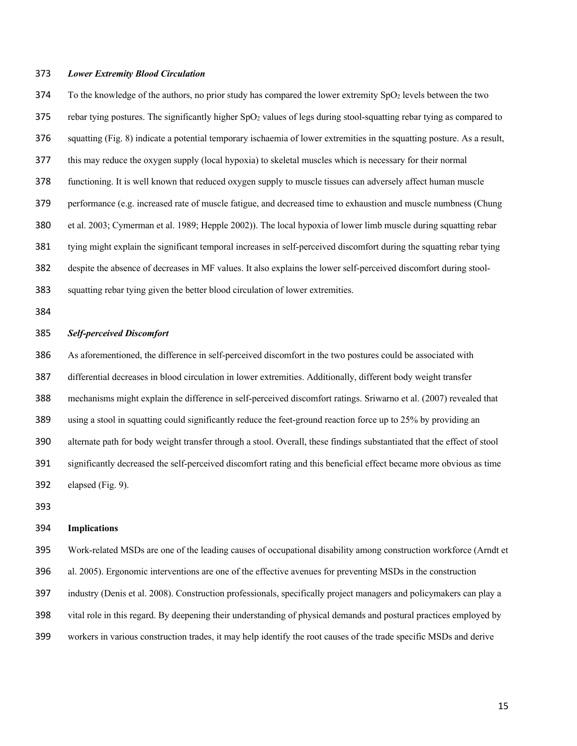#### *Lower Extremity Blood Circulation*

374 To the knowledge of the authors, no prior study has compared the lower extremity  $SpO<sub>2</sub>$  levels between the two 375 rebar tying postures. The significantly higher  $SpO<sub>2</sub>$  values of legs during stool-squatting rebar tying as compared to squatting (Fig. 8) indicate a potential temporary ischaemia of lower extremities in the squatting posture. As a result, this may reduce the oxygen supply (local hypoxia) to skeletal muscles which is necessary for their normal functioning. It is well known that reduced oxygen supply to muscle tissues can adversely affect human muscle performance (e.g. increased rate of muscle fatigue, and decreased time to exhaustion and muscle numbness (Chung et al. 2003; Cymerman et al. 1989; Hepple 2002)). The local hypoxia of lower limb muscle during squatting rebar tying might explain the significant temporal increases in self-perceived discomfort during the squatting rebar tying despite the absence of decreases in MF values. It also explains the lower self-perceived discomfort during stool- squatting rebar tying given the better blood circulation of lower extremities. 

# *Self-perceived Discomfort*

 As aforementioned, the difference in self-perceived discomfort in the two postures could be associated with differential decreases in blood circulation in lower extremities. Additionally, different body weight transfer mechanisms might explain the difference in self-perceived discomfort ratings. Sriwarno et al. (2007) revealed that using a stool in squatting could significantly reduce the feet-ground reaction force up to 25% by providing an alternate path for body weight transfer through a stool. Overall, these findings substantiated that the effect of stool significantly decreased the self-perceived discomfort rating and this beneficial effect became more obvious as time elapsed (Fig. 9).

## **Implications**

Work-related MSDs are one of the leading causes of occupational disability among construction workforce (Arndt et

al. 2005). Ergonomic interventions are one of the effective avenues for preventing MSDs in the construction

industry (Denis et al. 2008). Construction professionals, specifically project managers and policymakers can play a

- vital role in this regard. By deepening their understanding of physical demands and postural practices employed by
- workers in various construction trades, it may help identify the root causes of the trade specific MSDs and derive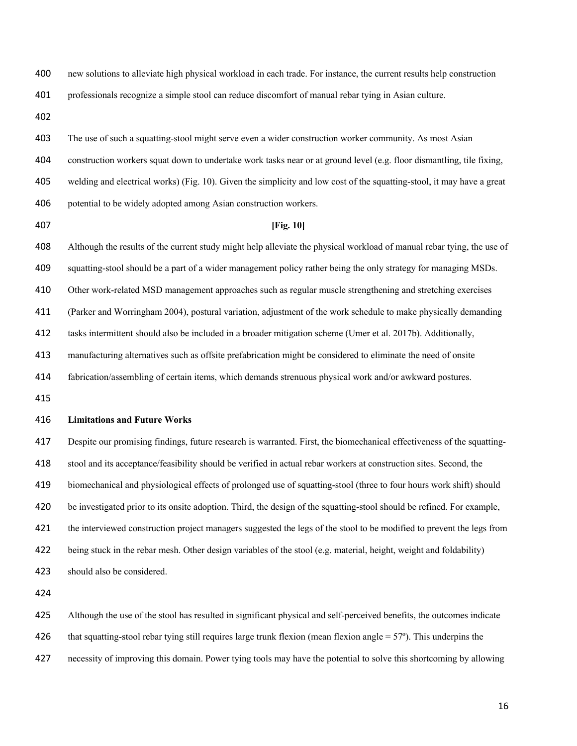new solutions to alleviate high physical workload in each trade. For instance, the current results help construction

professionals recognize a simple stool can reduce discomfort of manual rebar tying in Asian culture.

 The use of such a squatting-stool might serve even a wider construction worker community. As most Asian construction workers squat down to undertake work tasks near or at ground level (e.g. floor dismantling, tile fixing, welding and electrical works) (Fig. 10). Given the simplicity and low cost of the squatting-stool, it may have a great potential to be widely adopted among Asian construction workers.

# **[Fig. 10]**

Although the results of the current study might help alleviate the physical workload of manual rebar tying, the use of

squatting-stool should be a part of a wider management policy rather being the only strategy for managing MSDs.

Other work-related MSD management approaches such as regular muscle strengthening and stretching exercises

(Parker and Worringham 2004), postural variation, adjustment of the work schedule to make physically demanding

tasks intermittent should also be included in a broader mitigation scheme (Umer et al. 2017b). Additionally,

manufacturing alternatives such as offsite prefabrication might be considered to eliminate the need of onsite

fabrication/assembling of certain items, which demands strenuous physical work and/or awkward postures.

# **Limitations and Future Works**

 Despite our promising findings, future research is warranted. First, the biomechanical effectiveness of the squatting- stool and its acceptance/feasibility should be verified in actual rebar workers at construction sites. Second, the biomechanical and physiological effects of prolonged use of squatting-stool (three to four hours work shift) should be investigated prior to its onsite adoption. Third, the design of the squatting-stool should be refined. For example, the interviewed construction project managers suggested the legs of the stool to be modified to prevent the legs from being stuck in the rebar mesh. Other design variables of the stool (e.g. material, height, weight and foldability) should also be considered.

Although the use of the stool has resulted in significant physical and self-perceived benefits, the outcomes indicate

426 that squatting-stool rebar tying still requires large trunk flexion (mean flexion angle  $= 57^{\circ}$ ). This underpins the

necessity of improving this domain. Power tying tools may have the potential to solve this shortcoming by allowing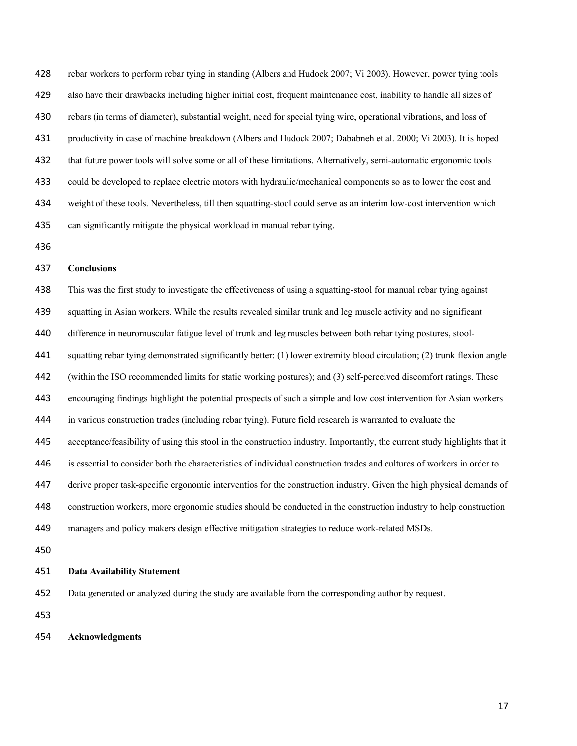rebar workers to perform rebar tying in standing (Albers and Hudock 2007; Vi 2003). However, power tying tools also have their drawbacks including higher initial cost, frequent maintenance cost, inability to handle all sizes of rebars (in terms of diameter), substantial weight, need for special tying wire, operational vibrations, and loss of productivity in case of machine breakdown (Albers and Hudock 2007; Dababneh et al. 2000; Vi 2003). It is hoped that future power tools will solve some or all of these limitations. Alternatively, semi-automatic ergonomic tools could be developed to replace electric motors with hydraulic/mechanical components so as to lower the cost and weight of these tools. Nevertheless, till then squatting-stool could serve as an interim low-cost intervention which can significantly mitigate the physical workload in manual rebar tying.

## **Conclusions**

 This was the first study to investigate the effectiveness of using a squatting-stool for manual rebar tying against squatting in Asian workers. While the results revealed similar trunk and leg muscle activity and no significant

difference in neuromuscular fatigue level of trunk and leg muscles between both rebar tying postures, stool-

squatting rebar tying demonstrated significantly better: (1) lower extremity blood circulation; (2) trunk flexion angle

(within the ISO recommended limits for static working postures); and (3) self-perceived discomfort ratings. These

encouraging findings highlight the potential prospects of such a simple and low cost intervention for Asian workers

in various construction trades (including rebar tying). Future field research is warranted to evaluate the

acceptance/feasibility of using this stool in the construction industry. Importantly, the current study highlights that it

is essential to consider both the characteristics of individual construction trades and cultures of workers in order to

derive proper task-specific ergonomic interventios for the construction industry. Given the high physical demands of

construction workers, more ergonomic studies should be conducted in the construction industry to help construction

managers and policy makers design effective mitigation strategies to reduce work-related MSDs.

#### **Data Availability Statement**

Data generated or analyzed during the study are available from the corresponding author by request.

**Acknowledgments**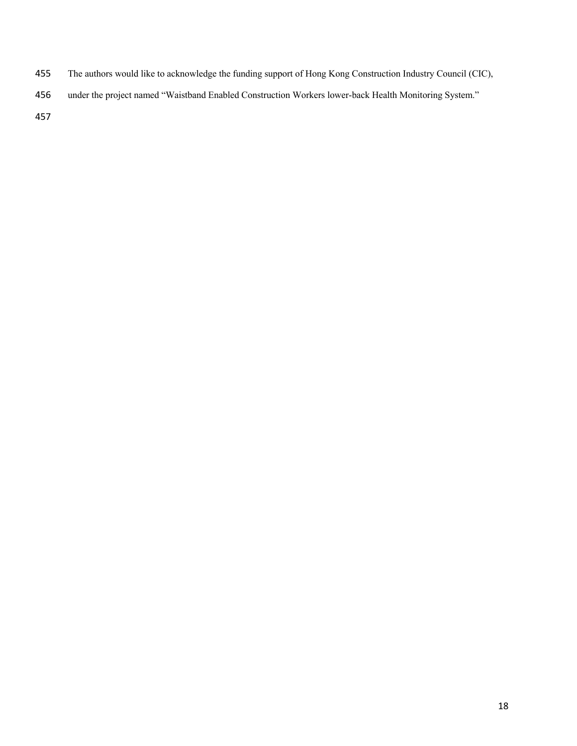- The authors would like to acknowledge the funding support of Hong Kong Construction Industry Council (CIC),
- under the project named "Waistband Enabled Construction Workers lower-back Health Monitoring System."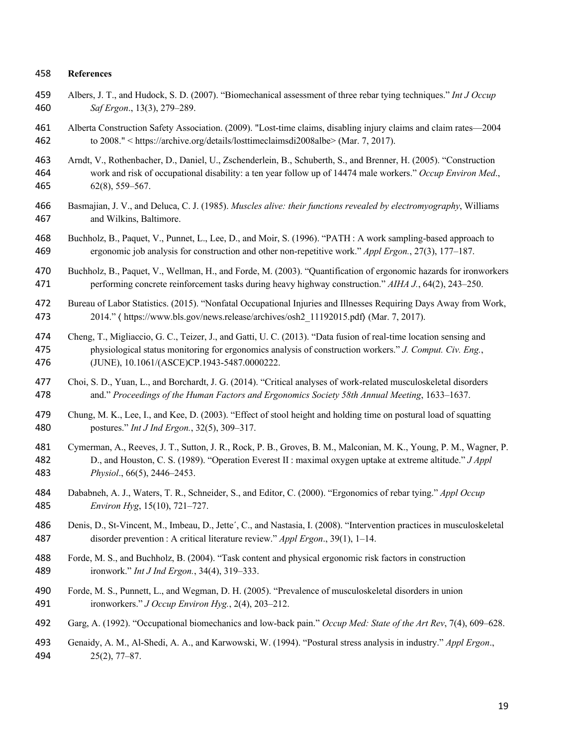## **References**

- Albers, J. T., and Hudock, S. D. (2007). "Biomechanical assessment of three rebar tying techniques." *Int J Occup Saf Ergon*., 13(3), 279–289.
- Alberta Construction Safety Association. (2009). "Lost-time claims, disabling injury claims and claim rates—2004 to 2008." < https://archive.org/details/losttimeclaimsdi2008albe> (Mar. 7, 2017).

 Arndt, V., Rothenbacher, D., Daniel, U., Zschenderlein, B., Schuberth, S., and Brenner, H. (2005). "Construction work and risk of occupational disability: a ten year follow up of 14474 male workers." *Occup Environ Med*., 62(8), 559–567.

- Basmajian, J. V., and Deluca, C. J. (1985). *Muscles alive: their functions revealed by electromyography*, Williams and Wilkins, Baltimore.
- Buchholz, B., Paquet, V., Punnet, L., Lee, D., and Moir, S. (1996). "PATH : A work sampling-based approach to ergonomic job analysis for construction and other non-repetitive work." *Appl Ergon.*, 27(3), 177–187.
- Buchholz, B., Paquet, V., Wellman, H., and Forde, M. (2003). "Quantification of ergonomic hazards for ironworkers performing concrete reinforcement tasks during heavy highway construction." *AIHA J.*, 64(2), 243–250.
- Bureau of Labor Statistics. (2015). "Nonfatal Occupational Injuries and Illnesses Requiring Days Away from Work, 2014." 〈 https://www.bls.gov/news.release/archives/osh2\_11192015.pdf〉 (Mar. 7, 2017).
- Cheng, T., Migliaccio, G. C., Teizer, J., and Gatti, U. C. (2013). "Data fusion of real-time location sensing and physiological status monitoring for ergonomics analysis of construction workers." *J. Comput. Civ. Eng.*, (JUNE), 10.1061/(ASCE)CP.1943-5487.0000222.
- Choi, S. D., Yuan, L., and Borchardt, J. G. (2014). "Critical analyses of work-related musculoskeletal disorders and." *Proceedings of the Human Factors and Ergonomics Society 58th Annual Meeting*, 1633–1637.
- Chung, M. K., Lee, I., and Kee, D. (2003). "Effect of stool height and holding time on postural load of squatting postures." *Int J Ind Ergon.*, 32(5), 309–317.
- Cymerman, A., Reeves, J. T., Sutton, J. R., Rock, P. B., Groves, B. M., Malconian, M. K., Young, P. M., Wagner, P. D., and Houston, C. S. (1989). "Operation Everest II : maximal oxygen uptake at extreme altitude." *J Appl Physiol*., 66(5), 2446–2453.
- Dababneh, A. J., Waters, T. R., Schneider, S., and Editor, C. (2000). "Ergonomics of rebar tying." *Appl Occup Environ Hyg*, 15(10), 721–727.
- Denis, D., St-Vincent, M., Imbeau, D., Jette´, C., and Nastasia, I. (2008). "Intervention practices in musculoskeletal disorder prevention : A critical literature review." *Appl Ergon*., 39(1), 1–14.
- Forde, M. S., and Buchholz, B. (2004). "Task content and physical ergonomic risk factors in construction ironwork." *Int J Ind Ergon.*, 34(4), 319–333.
- Forde, M. S., Punnett, L., and Wegman, D. H. (2005). "Prevalence of musculoskeletal disorders in union ironworkers." *J Occup Environ Hyg.*, 2(4), 203–212.
- Garg, A. (1992). "Occupational biomechanics and low-back pain." *Occup Med: State of the Art Rev*, 7(4), 609–628.

 Genaidy, A. M., Al-Shedi, A. A., and Karwowski, W. (1994). "Postural stress analysis in industry." *Appl Ergon*., 25(2), 77–87.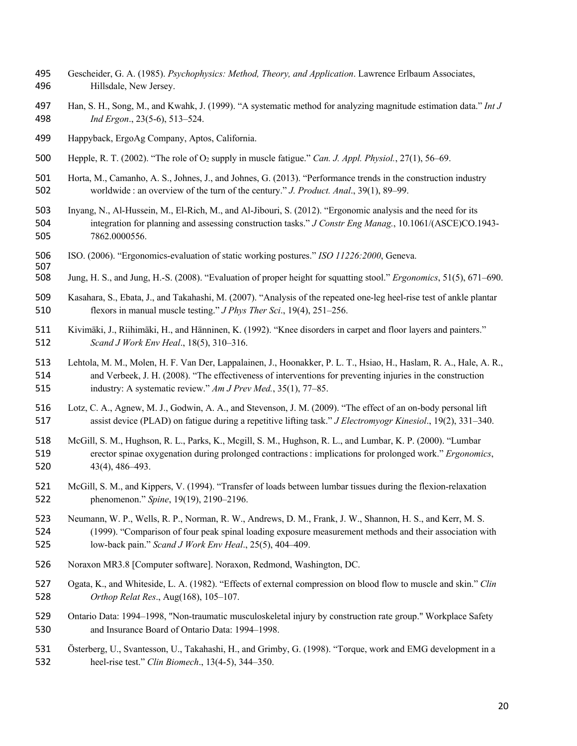- Gescheider, G. A. (1985). *Psychophysics: Method, Theory, and Application*. Lawrence Erlbaum Associates, Hillsdale, New Jersey.
- Han, S. H., Song, M., and Kwahk, J. (1999). "A systematic method for analyzing magnitude estimation data." *Int J Ind Ergon*., 23(5-6), 513–524.
- Happyback, ErgoAg Company, Aptos, California.
- Hepple, R. T. (2002). "The role of O2 supply in muscle fatigue." *Can. J. Appl. Physiol.*, 27(1), 56–69.
- Horta, M., Camanho, A. S., Johnes, J., and Johnes, G. (2013). "Performance trends in the construction industry worldwide : an overview of the turn of the century." *J. Product. Anal*., 39(1), 89–99.
- Inyang, N., Al-Hussein, M., El-Rich, M., and Al-Jibouri, S. (2012). "Ergonomic analysis and the need for its integration for planning and assessing construction tasks." *J Constr Eng Manag.*, 10.1061/(ASCE)CO.1943- 7862.0000556.
- ISO. (2006). "Ergonomics-evaluation of static working postures." *ISO 11226:2000*, Geneva.
- 507<br>508 Jung, H. S., and Jung, H.-S. (2008). "Evaluation of proper height for squatting stool." *Ergonomics*, 51(5), 671–690.
- Kasahara, S., Ebata, J., and Takahashi, M. (2007). "Analysis of the repeated one-leg heel-rise test of ankle plantar flexors in manual muscle testing." *J Phys Ther Sci*., 19(4), 251–256.
- Kivimäki, J., Riihimäki, H., and Hänninen, K. (1992). "Knee disorders in carpet and floor layers and painters." *Scand J Work Env Heal*., 18(5), 310–316.
- Lehtola, M. M., Molen, H. F. Van Der, Lappalainen, J., Hoonakker, P. L. T., Hsiao, H., Haslam, R. A., Hale, A. R., and Verbeek, J. H. (2008). "The effectiveness of interventions for preventing injuries in the construction industry: A systematic review." *Am J Prev Med.*, 35(1), 77–85.
- Lotz, C. A., Agnew, M. J., Godwin, A. A., and Stevenson, J. M. (2009). "The effect of an on-body personal lift assist device (PLAD) on fatigue during a repetitive lifting task." *J Electromyogr Kinesiol*., 19(2), 331–340.
- McGill, S. M., Hughson, R. L., Parks, K., Mcgill, S. M., Hughson, R. L., and Lumbar, K. P. (2000). "Lumbar erector spinae oxygenation during prolonged contractions : implications for prolonged work." *Ergonomics*, 43(4), 486–493.
- McGill, S. M., and Kippers, V. (1994). "Transfer of loads between lumbar tissues during the flexion-relaxation phenomenon." *Spine*, 19(19), 2190–2196.
- Neumann, W. P., Wells, R. P., Norman, R. W., Andrews, D. M., Frank, J. W., Shannon, H. S., and Kerr, M. S. (1999). "Comparison of four peak spinal loading exposure measurement methods and their association with low-back pain." *Scand J Work Env Heal*., 25(5), 404–409.
- Noraxon MR3.8 [Computer software]. Noraxon, Redmond, Washington, DC.
- Ogata, K., and Whiteside, L. A. (1982). "Effects of external compression on blood flow to muscle and skin." *Clin Orthop Relat Res*., Aug(168), 105–107.
- Ontario Data: 1994–1998, "Non-traumatic musculoskeletal injury by construction rate group." Workplace Safety and Insurance Board of Ontario Data: 1994–1998.
- Österberg, U., Svantesson, U., Takahashi, H., and Grimby, G. (1998). "Torque, work and EMG development in a heel-rise test." *Clin Biomech*., 13(4-5), 344–350.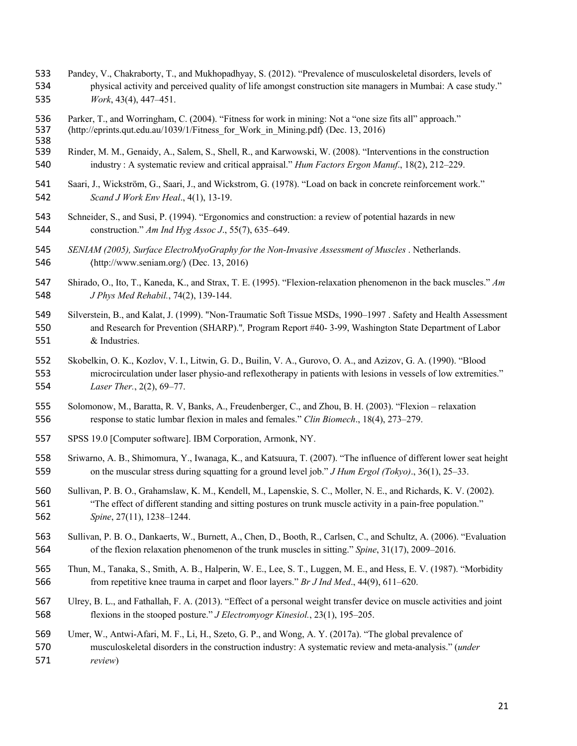- Pandey, V., Chakraborty, T., and Mukhopadhyay, S. (2012). "Prevalence of musculoskeletal disorders, levels of physical activity and perceived quality of life amongst construction site managers in Mumbai: A case study." *Work*, 43(4), 447–451.
- 536 Parker, T., and Worringham, C. (2004). "Fitness for work in mining: Not a "one size fits all" approach."<br>537 (http://eprints.qut.edu.au/1039/1/Fitness for Work in Mining.pdf) (Dec. 13, 2016)
- 〈http://eprints.qut.edu.au/1039/1/Fitness\_for\_Work\_in\_Mining.pdf〉 (Dec. 13, 2016)

- Rinder, M. M., Genaidy, A., Salem, S., Shell, R., and Karwowski, W. (2008). "Interventions in the construction industry : A systematic review and critical appraisal." *Hum Factors Ergon Manuf*., 18(2), 212–229.
- Saari, J., Wickström, G., Saari, J., and Wickstrom, G. (1978). "Load on back in concrete reinforcement work." *Scand J Work Env Heal*., 4(1), 13-19.
- Schneider, S., and Susi, P. (1994). "Ergonomics and construction: a review of potential hazards in new construction." *Am Ind Hyg Assoc J*., 55(7), 635–649.
- *SENIAM (2005), Surface ElectroMyoGraphy for the Non-Invasive Assessment of Muscles* . Netherlands. 〈http://www.seniam.org/〉 (Dec. 13, 2016)
- Shirado, O., Ito, T., Kaneda, K., and Strax, T. E. (1995). "Flexion-relaxation phenomenon in the back muscles." *Am J Phys Med Rehabil.*, 74(2), 139-144.
- Silverstein, B., and Kalat, J. (1999). "Non-Traumatic Soft Tissue MSDs, 1990–1997 . Safety and Health Assessment and Research for Prevention (SHARP)."*,* Program Report #40- 3-99, Washington State Department of Labor & Industries.
- Skobelkin, O. K., Kozlov, V. I., Litwin, G. D., Builin, V. A., Gurovo, O. A., and Azizov, G. A. (1990). "Blood microcirculation under laser physio-and reflexotherapy in patients with lesions in vessels of low extremities." *Laser Ther.*, 2(2), 69–77.
- Solomonow, M., Baratta, R. V, Banks, A., Freudenberger, C., and Zhou, B. H. (2003). "Flexion relaxation response to static lumbar flexion in males and females." *Clin Biomech*., 18(4), 273–279.
- SPSS 19.0 [Computer software]. IBM Corporation, Armonk, NY.
- Sriwarno, A. B., Shimomura, Y., Iwanaga, K., and Katsuura, T. (2007). "The influence of different lower seat height on the muscular stress during squatting for a ground level job." *J Hum Ergol (Tokyo)*., 36(1), 25–33.
- Sullivan, P. B. O., Grahamslaw, K. M., Kendell, M., Lapenskie, S. C., Moller, N. E., and Richards, K. V. (2002). "The effect of different standing and sitting postures on trunk muscle activity in a pain-free population." *Spine*, 27(11), 1238–1244.
- Sullivan, P. B. O., Dankaerts, W., Burnett, A., Chen, D., Booth, R., Carlsen, C., and Schultz, A. (2006). "Evaluation of the flexion relaxation phenomenon of the trunk muscles in sitting." *Spine*, 31(17), 2009–2016.
- Thun, M., Tanaka, S., Smith, A. B., Halperin, W. E., Lee, S. T., Luggen, M. E., and Hess, E. V. (1987). "Morbidity from repetitive knee trauma in carpet and floor layers." *Br J Ind Med*., 44(9), 611–620.
- Ulrey, B. L., and Fathallah, F. A. (2013). "Effect of a personal weight transfer device on muscle activities and joint flexions in the stooped posture." *J Electromyogr Kinesiol.*, 23(1), 195–205.
- Umer, W., Antwi-Afari, M. F., Li, H., Szeto, G. P., and Wong, A. Y. (2017a). "The global prevalence of
- musculoskeletal disorders in the construction industry: A systematic review and meta-analysis." (*under review*)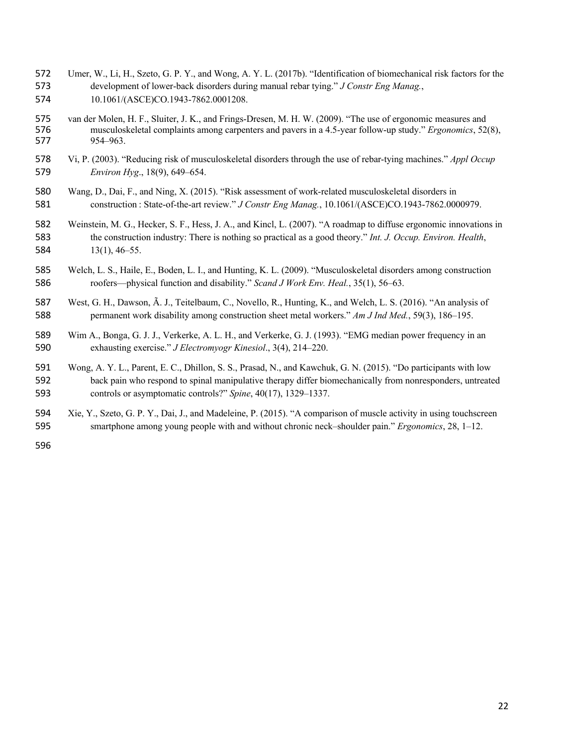- Umer, W., Li, H., Szeto, G. P. Y., and Wong, A. Y. L. (2017b). "Identification of biomechanical risk factors for the development of lower-back disorders during manual rebar tying." *J Constr Eng Manag.*, 10.1061/(ASCE)CO.1943-7862.0001208.
- 575 van der Molen, H. F., Sluiter, J. K., and Frings-Dresen, M. H. W. (2009). "The use of ergonomic measures and<br>576 unusculoskeletal complaints among carpenters and pavers in a 4.5-year follow-up study." *Ergonomics*, 52 musculoskeletal complaints among carpenters and pavers in a 4.5-year follow-up study." *Ergonomics*, 52(8), 954–963.
- Vi, P. (2003). "Reducing risk of musculoskeletal disorders through the use of rebar-tying machines." *Appl Occup Environ Hyg*., 18(9), 649–654.
- Wang, D., Dai, F., and Ning, X. (2015). "Risk assessment of work-related musculoskeletal disorders in construction : State-of-the-art review." *J Constr Eng Manag.*, 10.1061/(ASCE)CO.1943-7862.0000979.
- Weinstein, M. G., Hecker, S. F., Hess, J. A., and Kincl, L. (2007). "A roadmap to diffuse ergonomic innovations in the construction industry: There is nothing so practical as a good theory." *Int. J. Occup. Environ. Health*, 13(1), 46–55.
- Welch, L. S., Haile, E., Boden, L. I., and Hunting, K. L. (2009). "Musculoskeletal disorders among construction roofers—physical function and disability." *Scand J Work Env. Heal.*, 35(1), 56–63.
- West, G. H., Dawson, Ã. J., Teitelbaum, C., Novello, R., Hunting, K., and Welch, L. S. (2016). "An analysis of permanent work disability among construction sheet metal workers." *Am J Ind Med.*, 59(3), 186–195.
- Wim A., Bonga, G. J. J., Verkerke, A. L. H., and Verkerke, G. J. (1993). "EMG median power frequency in an exhausting exercise." *J Electromyogr Kinesiol*., 3(4), 214–220.
- Wong, A. Y. L., Parent, E. C., Dhillon, S. S., Prasad, N., and Kawchuk, G. N. (2015). "Do participants with low back pain who respond to spinal manipulative therapy differ biomechanically from nonresponders, untreated controls or asymptomatic controls?" *Spine*, 40(17), 1329–1337.
- Xie, Y., Szeto, G. P. Y., Dai, J., and Madeleine, P. (2015). "A comparison of muscle activity in using touchscreen smartphone among young people with and without chronic neck–shoulder pain." *Ergonomics*, 28, 1–12.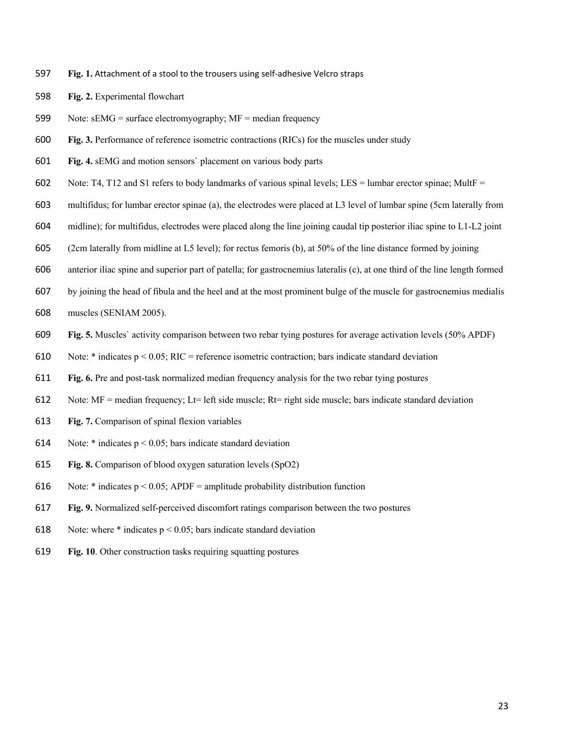- **Fig. 1.** Attachment of a stool to the trousers using self-adhesive Velcro straps
- **Fig. 2.** Experimental flowchart
- Note: sEMG = surface electromyography; MF = median frequency
- **Fig. 3.** Performance of reference isometric contractions (RICs) for the muscles under study
- **Fig. 4.** sEMG and motion sensors` placement on various body parts
- 602 Note: T4, T12 and S1 refers to body landmarks of various spinal levels; LES = lumbar erector spinae; MultF =
- multifidus; for lumbar erector spinae (a), the electrodes were placed at L3 level of lumbar spine (5cm laterally from
- midline); for multifidus, electrodes were placed along the line joining caudal tip posterior iliac spine to L1-L2 joint
- (2cm laterally from midline at L5 level); for rectus femoris (b), at 50% of the line distance formed by joining
- anterior iliac spine and superior part of patella; for gastrocnemius lateralis (c), at one third of the line length formed
- by joining the head of fibula and the heel and at the most prominent bulge of the muscle for gastrocnemius medialis
- muscles (SENIAM 2005).
- **Fig. 5.** Muscles` activity comparison between two rebar tying postures for average activation levels (50% APDF)
- 610 Note:  $*$  indicates  $p < 0.05$ ; RIC = reference isometric contraction; bars indicate standard deviation
- **Fig. 6.** Pre and post-task normalized median frequency analysis for the two rebar tying postures
- 612 Note:  $MF =$  median frequency; Lt= left side muscle; Rt= right side muscle; bars indicate standard deviation
- **Fig. 7.** Comparison of spinal flexion variables
- 614 Note:  $*$  indicates  $p < 0.05$ ; bars indicate standard deviation
- **Fig. 8.** Comparison of blood oxygen saturation levels (SpO2)
- 616 Note:  $*$  indicates  $p < 0.05$ ; APDF = amplitude probability distribution function
- **Fig. 9.** Normalized self-perceived discomfort ratings comparison between the two postures
- 618 Note: where  $*$  indicates  $p < 0.05$ ; bars indicate standard deviation
- **Fig. 10**. Other construction tasks requiring squatting postures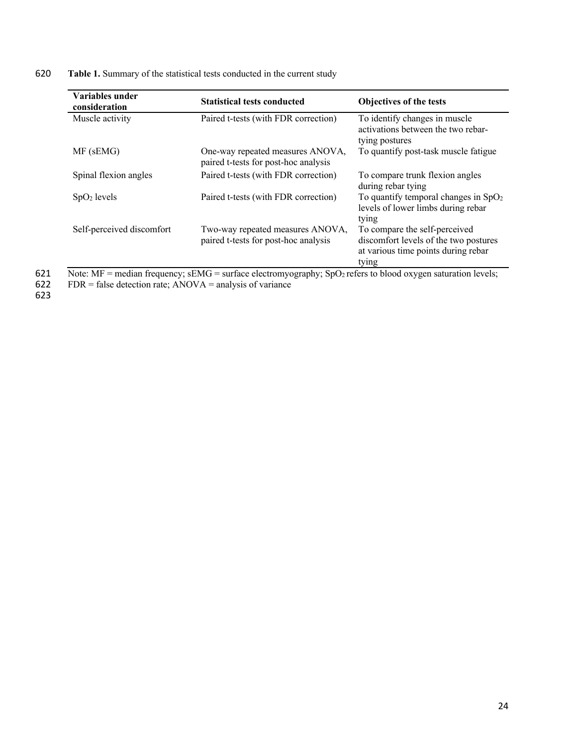| 620 | <b>Table 1.</b> Summary of the statistical tests conducted in the current study |  |  |  |
|-----|---------------------------------------------------------------------------------|--|--|--|
|-----|---------------------------------------------------------------------------------|--|--|--|

| Variables under<br>consideration | <b>Statistical tests conducted</b>                                       | Objectives of the tests                                                                                                |
|----------------------------------|--------------------------------------------------------------------------|------------------------------------------------------------------------------------------------------------------------|
| Muscle activity                  | Paired t-tests (with FDR correction)                                     | To identify changes in muscle<br>activations between the two rebar-<br>tying postures                                  |
| MF (sEMG)                        | One-way repeated measures ANOVA,<br>paired t-tests for post-hoc analysis | To quantify post-task muscle fatigue                                                                                   |
| Spinal flexion angles            | Paired t-tests (with FDR correction)                                     | To compare trunk flexion angles<br>during rebar tying                                                                  |
| $SpO2$ levels                    | Paired t-tests (with FDR correction)                                     | To quantify temporal changes in $SpO2$<br>levels of lower limbs during rebar<br>tying                                  |
| Self-perceived discomfort        | Two-way repeated measures ANOVA,<br>paired t-tests for post-hoc analysis | To compare the self-perceived<br>discomfort levels of the two postures<br>at various time points during rebar<br>tying |

621 Note: MF = median frequency;  $sEMG$  = surface electromyography;  $SpO<sub>2</sub>$  refers to blood oxygen saturation levels; 621<br>622<br>623

- $622$  FDR = false detection rate; ANOVA = analysis of variance
-